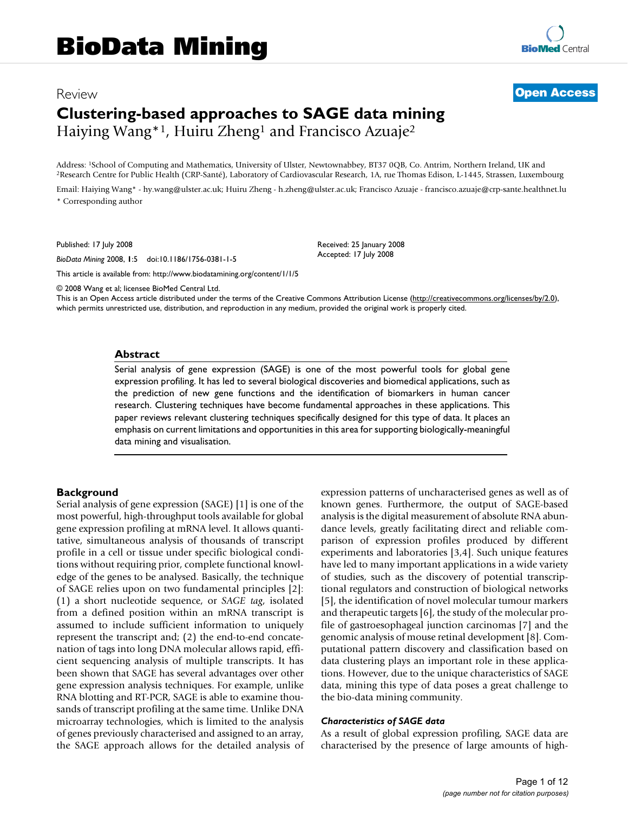# Review **[Open Access](http://www.biomedcentral.com/info/about/charter/) Clustering-based approaches to SAGE data mining** Haiying Wang<sup>\*1</sup>, Huiru Zheng<sup>1</sup> and Francisco Azuaje<sup>2</sup>

Address: <sup>1</sup>School of Computing and Mathematics, University of Ulster, Newtownabbey, BT37 0QB, Co. Antrim, Northern Ireland, UK and<br><sup>2</sup>Research Centre for Public Health (CRP-Santé), Laboratory of Cardiovascular Research, 1

Email: Haiying Wang\* - hy.wang@ulster.ac.uk; Huiru Zheng - h.zheng@ulster.ac.uk; Francisco Azuaje - francisco.azuaje@crp-sante.healthnet.lu \* Corresponding author

> Received: 25 January 2008 Accepted: 17 July 2008

Published: 17 July 2008

*BioData Mining* 2008, **1**:5 doi:10.1186/1756-0381-1-5

[This article is available from: http://www.biodatamining.org/content/1/1/5](http://www.biodatamining.org/content/1/1/5)

© 2008 Wang et al; licensee BioMed Central Ltd.

This is an Open Access article distributed under the terms of the Creative Commons Attribution License [\(http://creativecommons.org/licenses/by/2.0\)](http://creativecommons.org/licenses/by/2.0), which permits unrestricted use, distribution, and reproduction in any medium, provided the original work is properly cited.

#### **Abstract**

Serial analysis of gene expression (SAGE) is one of the most powerful tools for global gene expression profiling. It has led to several biological discoveries and biomedical applications, such as the prediction of new gene functions and the identification of biomarkers in human cancer research. Clustering techniques have become fundamental approaches in these applications. This paper reviews relevant clustering techniques specifically designed for this type of data. It places an emphasis on current limitations and opportunities in this area for supporting biologically-meaningful data mining and visualisation.

#### **Background**

Serial analysis of gene expression (SAGE) [1] is one of the most powerful, high-throughput tools available for global gene expression profiling at mRNA level. It allows quantitative, simultaneous analysis of thousands of transcript profile in a cell or tissue under specific biological conditions without requiring prior, complete functional knowledge of the genes to be analysed. Basically, the technique of SAGE relies upon on two fundamental principles [2]: (1) a short nucleotide sequence, or *SAGE tag*, isolated from a defined position within an mRNA transcript is assumed to include sufficient information to uniquely represent the transcript and; (2) the end-to-end concatenation of tags into long DNA molecular allows rapid, efficient sequencing analysis of multiple transcripts. It has been shown that SAGE has several advantages over other gene expression analysis techniques. For example, unlike RNA blotting and RT-PCR, SAGE is able to examine thousands of transcript profiling at the same time. Unlike DNA microarray technologies, which is limited to the analysis of genes previously characterised and assigned to an array, the SAGE approach allows for the detailed analysis of expression patterns of uncharacterised genes as well as of known genes. Furthermore, the output of SAGE-based analysis is the digital measurement of absolute RNA abundance levels, greatly facilitating direct and reliable comparison of expression profiles produced by different experiments and laboratories [3,4]. Such unique features have led to many important applications in a wide variety of studies, such as the discovery of potential transcriptional regulators and construction of biological networks [5], the identification of novel molecular tumour markers and therapeutic targets [6], the study of the molecular profile of gastroesophageal junction carcinomas [7] and the genomic analysis of mouse retinal development [8]. Computational pattern discovery and classification based on data clustering plays an important role in these applications. However, due to the unique characteristics of SAGE data, mining this type of data poses a great challenge to the bio-data mining community.

#### *Characteristics of SAGE data*

As a result of global expression profiling, SAGE data are characterised by the presence of large amounts of high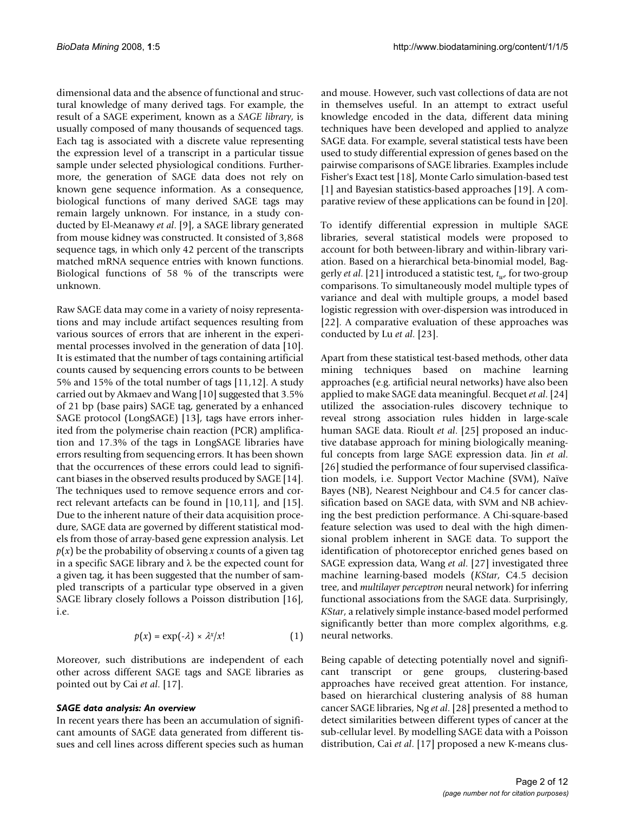dimensional data and the absence of functional and structural knowledge of many derived tags. For example, the result of a SAGE experiment, known as a *SAGE library*, is usually composed of many thousands of sequenced tags. Each tag is associated with a discrete value representing the expression level of a transcript in a particular tissue sample under selected physiological conditions. Furthermore, the generation of SAGE data does not rely on known gene sequence information. As a consequence, biological functions of many derived SAGE tags may remain largely unknown. For instance, in a study conducted by El-Meanawy *et al*. [9], a SAGE library generated from mouse kidney was constructed. It consisted of 3,868 sequence tags, in which only 42 percent of the transcripts matched mRNA sequence entries with known functions. Biological functions of 58 % of the transcripts were unknown.

Raw SAGE data may come in a variety of noisy representations and may include artifact sequences resulting from various sources of errors that are inherent in the experimental processes involved in the generation of data [10]. It is estimated that the number of tags containing artificial counts caused by sequencing errors counts to be between 5% and 15% of the total number of tags [11,12]. A study carried out by Akmaev and Wang [10] suggested that 3.5% of 21 bp (base pairs) SAGE tag, generated by a enhanced SAGE protocol (LongSAGE) [13], tags have errors inherited from the polymerise chain reaction (PCR) amplification and 17.3% of the tags in LongSAGE libraries have errors resulting from sequencing errors. It has been shown that the occurrences of these errors could lead to significant biases in the observed results produced by SAGE [14]. The techniques used to remove sequence errors and correct relevant artefacts can be found in [10,11], and [15]. Due to the inherent nature of their data acquisition procedure, SAGE data are governed by different statistical models from those of array-based gene expression analysis. Let  $p(x)$  be the probability of observing *x* counts of a given tag in a specific SAGE library and  $\lambda$  be the expected count for a given tag, it has been suggested that the number of sampled transcripts of a particular type observed in a given SAGE library closely follows a Poisson distribution [16], i.e.

$$
p(x) = \exp(-\lambda) \times \lambda^{x}/x!
$$
 (1)

Moreover, such distributions are independent of each other across different SAGE tags and SAGE libraries as pointed out by Cai *et al*. [17].

#### *SAGE data analysis: An overview*

In recent years there has been an accumulation of significant amounts of SAGE data generated from different tissues and cell lines across different species such as human

and mouse. However, such vast collections of data are not in themselves useful. In an attempt to extract useful knowledge encoded in the data, different data mining techniques have been developed and applied to analyze SAGE data. For example, several statistical tests have been used to study differential expression of genes based on the pairwise comparisons of SAGE libraries. Examples include Fisher's Exact test [18], Monte Carlo simulation-based test [1] and Bayesian statistics-based approaches [19]. A comparative review of these applications can be found in [20].

To identify differential expression in multiple SAGE libraries, several statistical models were proposed to account for both between-library and within-library variation. Based on a hierarchical beta-binomial model, Baggerly *et al*. [21] introduced a statistic test, *tw*, for two-group comparisons. To simultaneously model multiple types of variance and deal with multiple groups, a model based logistic regression with over-dispersion was introduced in [22]. A comparative evaluation of these approaches was conducted by Lu *et al*. [23].

Apart from these statistical test-based methods, other data mining techniques based on machine learning approaches (e.g. artificial neural networks) have also been applied to make SAGE data meaningful. Becquet *et al*. [24] utilized the association-rules discovery technique to reveal strong association rules hidden in large-scale human SAGE data. Rioult *et al*. [25] proposed an inductive database approach for mining biologically meaningful concepts from large SAGE expression data. Jin *et al*. [26] studied the performance of four supervised classification models, i.e. Support Vector Machine (SVM), Naïve Bayes (NB), Nearest Neighbour and C4.5 for cancer classification based on SAGE data, with SVM and NB achieving the best prediction performance. A Chi-square-based feature selection was used to deal with the high dimensional problem inherent in SAGE data. To support the identification of photoreceptor enriched genes based on SAGE expression data, Wang *et al*. [27] investigated three machine learning-based models (*KStar*, C4.5 decision tree, and *multilayer perceptron* neural network) for inferring functional associations from the SAGE data. Surprisingly, *KStar*, a relatively simple instance-based model performed significantly better than more complex algorithms, e.g. neural networks.

Being capable of detecting potentially novel and significant transcript or gene groups, clustering-based approaches have received great attention. For instance, based on hierarchical clustering analysis of 88 human cancer SAGE libraries, Ng *et al*. [28] presented a method to detect similarities between different types of cancer at the sub-cellular level. By modelling SAGE data with a Poisson distribution, Cai *et al*. [17] proposed a new K-means clus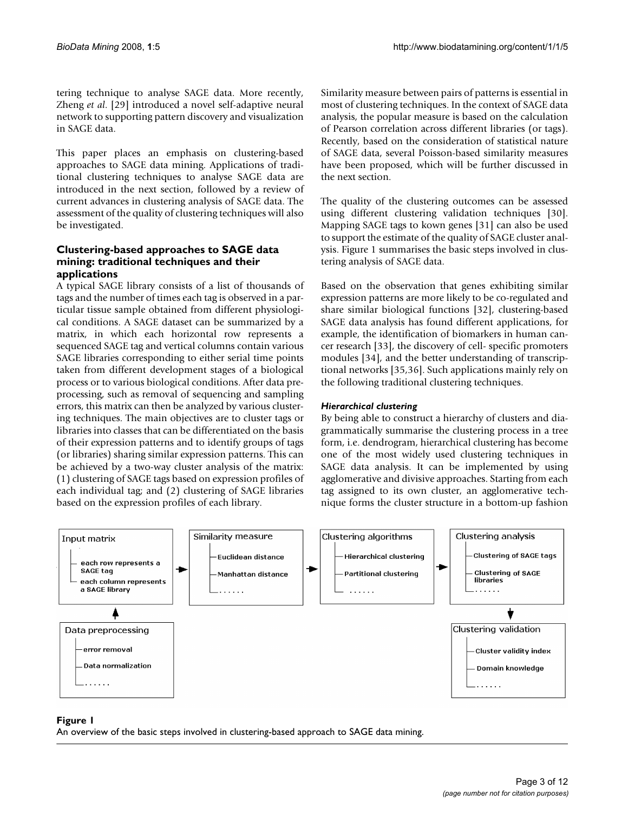tering technique to analyse SAGE data. More recently, Zheng *et al*. [29] introduced a novel self-adaptive neural network to supporting pattern discovery and visualization in SAGE data.

This paper places an emphasis on clustering-based approaches to SAGE data mining. Applications of traditional clustering techniques to analyse SAGE data are introduced in the next section, followed by a review of current advances in clustering analysis of SAGE data. The assessment of the quality of clustering techniques will also be investigated.

#### **Clustering-based approaches to SAGE data mining: traditional techniques and their applications**

A typical SAGE library consists of a list of thousands of tags and the number of times each tag is observed in a particular tissue sample obtained from different physiological conditions. A SAGE dataset can be summarized by a matrix, in which each horizontal row represents a sequenced SAGE tag and vertical columns contain various SAGE libraries corresponding to either serial time points taken from different development stages of a biological process or to various biological conditions. After data preprocessing, such as removal of sequencing and sampling errors, this matrix can then be analyzed by various clustering techniques. The main objectives are to cluster tags or libraries into classes that can be differentiated on the basis of their expression patterns and to identify groups of tags (or libraries) sharing similar expression patterns. This can be achieved by a two-way cluster analysis of the matrix: (1) clustering of SAGE tags based on expression profiles of each individual tag; and (2) clustering of SAGE libraries based on the expression profiles of each library.

Similarity measure between pairs of patterns is essential in most of clustering techniques. In the context of SAGE data analysis, the popular measure is based on the calculation of Pearson correlation across different libraries (or tags). Recently, based on the consideration of statistical nature of SAGE data, several Poisson-based similarity measures have been proposed, which will be further discussed in the next section.

The quality of the clustering outcomes can be assessed using different clustering validation techniques [30]. Mapping SAGE tags to kown genes [31] can also be used to support the estimate of the quality of SAGE cluster analysis. Figure 1 summarises the basic steps involved in clustering analysis of SAGE data.

Based on the observation that genes exhibiting similar expression patterns are more likely to be co-regulated and share similar biological functions [32], clustering-based SAGE data analysis has found different applications, for example, the identification of biomarkers in human cancer research [33], the discovery of cell- specific promoters modules [34], and the better understanding of transcriptional networks [35,36]. Such applications mainly rely on the following traditional clustering techniques.

# *Hierarchical clustering*

By being able to construct a hierarchy of clusters and diagrammatically summarise the clustering process in a tree form, i.e. dendrogram, hierarchical clustering has become one of the most widely used clustering techniques in SAGE data analysis. It can be implemented by using agglomerative and divisive approaches. Starting from each tag assigned to its own cluster, an agglomerative technique forms the cluster structure in a bottom-up fashion



# An overview of the basic steps involved in cl **Figure 1** ustering-based approach to SAGE data mining

An overview of the basic steps involved in clustering-based approach to SAGE data mining.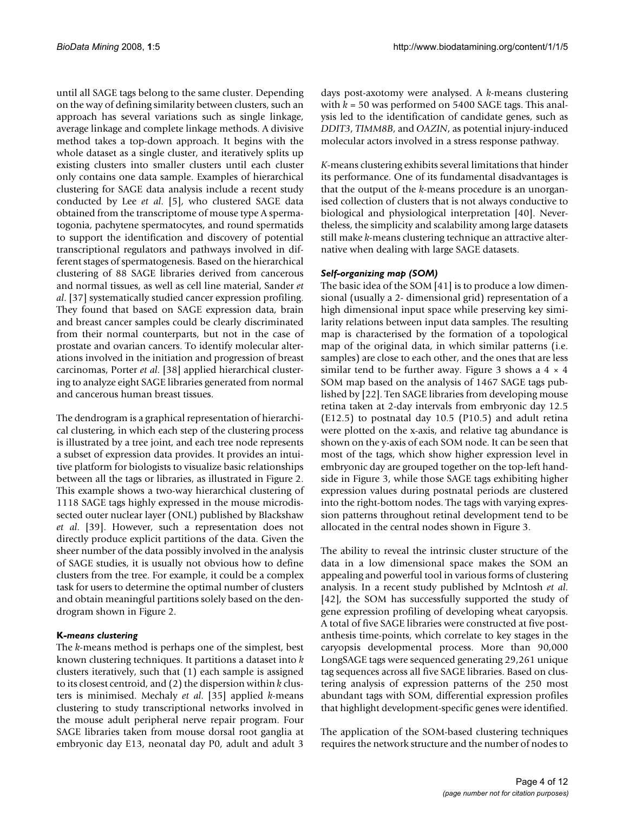until all SAGE tags belong to the same cluster. Depending on the way of defining similarity between clusters, such an approach has several variations such as single linkage, average linkage and complete linkage methods. A divisive method takes a top-down approach. It begins with the whole dataset as a single cluster, and iteratively splits up existing clusters into smaller clusters until each cluster only contains one data sample. Examples of hierarchical clustering for SAGE data analysis include a recent study conducted by Lee *et al*. [5], who clustered SAGE data obtained from the transcriptome of mouse type A spermatogonia, pachytene spermatocytes, and round spermatids to support the identification and discovery of potential transcriptional regulators and pathways involved in different stages of spermatogenesis. Based on the hierarchical clustering of 88 SAGE libraries derived from cancerous and normal tissues, as well as cell line material, Sander *et al*. [37] systematically studied cancer expression profiling. They found that based on SAGE expression data, brain and breast cancer samples could be clearly discriminated from their normal counterparts, but not in the case of prostate and ovarian cancers. To identify molecular alterations involved in the initiation and progression of breast carcinomas, Porter *et al*. [38] applied hierarchical clustering to analyze eight SAGE libraries generated from normal and cancerous human breast tissues.

The dendrogram is a graphical representation of hierarchical clustering, in which each step of the clustering process is illustrated by a tree joint, and each tree node represents a subset of expression data provides. It provides an intuitive platform for biologists to visualize basic relationships between all the tags or libraries, as illustrated in Figure 2. This example shows a two-way hierarchical clustering of 1118 SAGE tags highly expressed in the mouse microdissected outer nuclear layer (ONL) published by Blackshaw *et al*. [39]. However, such a representation does not directly produce explicit partitions of the data. Given the sheer number of the data possibly involved in the analysis of SAGE studies, it is usually not obvious how to define clusters from the tree. For example, it could be a complex task for users to determine the optimal number of clusters and obtain meaningful partitions solely based on the dendrogram shown in Figure 2.

# **K***-means clustering*

The *k*-means method is perhaps one of the simplest, best known clustering techniques. It partitions a dataset into *k* clusters iteratively, such that (1) each sample is assigned to its closest centroid, and (2) the dispersion within *k* clusters is minimised. Mechaly *et al*. [35] applied *k*-means clustering to study transcriptional networks involved in the mouse adult peripheral nerve repair program. Four SAGE libraries taken from mouse dorsal root ganglia at embryonic day E13, neonatal day P0, adult and adult 3

days post-axotomy were analysed. A *k*-means clustering with  $k = 50$  was performed on 5400 SAGE tags. This analysis led to the identification of candidate genes, such as *DDIT3*, *TIMM8B*, and *OAZIN*, as potential injury-induced molecular actors involved in a stress response pathway.

*K*-means clustering exhibits several limitations that hinder its performance. One of its fundamental disadvantages is that the output of the *k*-means procedure is an unorganised collection of clusters that is not always conductive to biological and physiological interpretation [40]. Nevertheless, the simplicity and scalability among large datasets still make *k*-means clustering technique an attractive alternative when dealing with large SAGE datasets.

#### *Self-organizing map (SOM)*

The basic idea of the SOM [41] is to produce a low dimensional (usually a 2- dimensional grid) representation of a high dimensional input space while preserving key similarity relations between input data samples. The resulting map is characterised by the formation of a topological map of the original data, in which similar patterns (i.e. samples) are close to each other, and the ones that are less similar tend to be further away. Figure 3 shows a  $4 \times 4$ SOM map based on the analysis of 1467 SAGE tags published by [22]. Ten SAGE libraries from developing mouse retina taken at 2-day intervals from embryonic day 12.5 (E12.5) to postnatal day 10.5 (P10.5) and adult retina were plotted on the x-axis, and relative tag abundance is shown on the y-axis of each SOM node. It can be seen that most of the tags, which show higher expression level in embryonic day are grouped together on the top-left handside in Figure 3, while those SAGE tags exhibiting higher expression values during postnatal periods are clustered into the right-bottom nodes. The tags with varying expression patterns throughout retinal development tend to be allocated in the central nodes shown in Figure 3.

The ability to reveal the intrinsic cluster structure of the data in a low dimensional space makes the SOM an appealing and powerful tool in various forms of clustering analysis. In a recent study published by Mclntosh *et al*. [42], the SOM has successfully supported the study of gene expression profiling of developing wheat caryopsis. A total of five SAGE libraries were constructed at five postanthesis time-points, which correlate to key stages in the caryopsis developmental process. More than 90,000 LongSAGE tags were sequenced generating 29,261 unique tag sequences across all five SAGE libraries. Based on clustering analysis of expression patterns of the 250 most abundant tags with SOM, differential expression profiles that highlight development-specific genes were identified.

The application of the SOM-based clustering techniques requires the network structure and the number of nodes to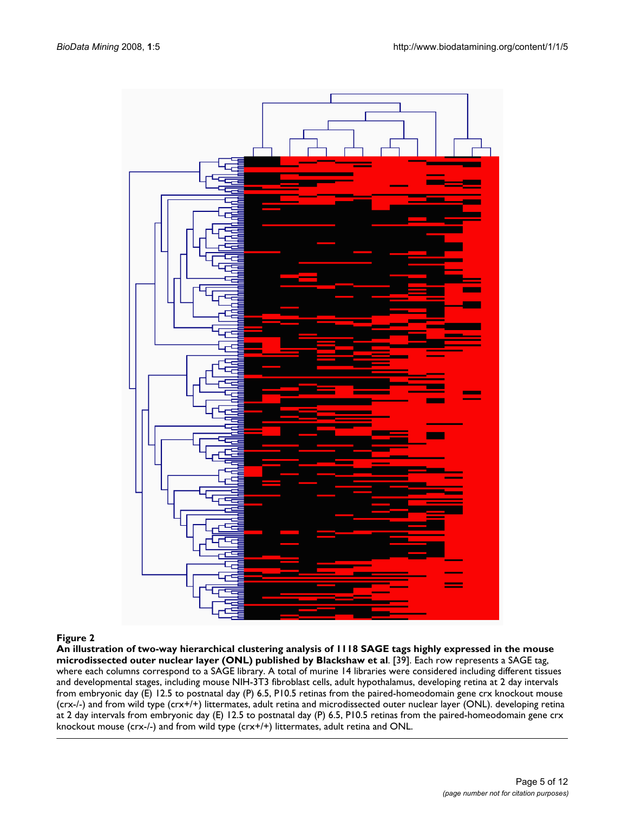

**An illustration of two-way hierarchical clustering analysis of 1118 SAGE tags highly expressed in the mouse microdissected outer nuclear layer (ONL) published by Blackshaw et al**. [39]. Each row represents a SAGE tag, where each columns correspond to a SAGE library. A total of murine 14 libraries were considered including different tissues and developmental stages, including mouse NIH-3T3 fibroblast cells, adult hypothalamus, developing retina at 2 day intervals from embryonic day (E) 12.5 to postnatal day (P) 6.5, P10.5 retinas from the paired-homeodomain gene crx knockout mouse (crx-/-) and from wild type (crx+/+) littermates, adult retina and microdissected outer nuclear layer (ONL). developing retina at 2 day intervals from embryonic day (E) 12.5 to postnatal day (P) 6.5, P10.5 retinas from the paired-homeodomain gene crx knockout mouse (crx-/-) and from wild type (crx+/+) littermates, adult retina and ONL.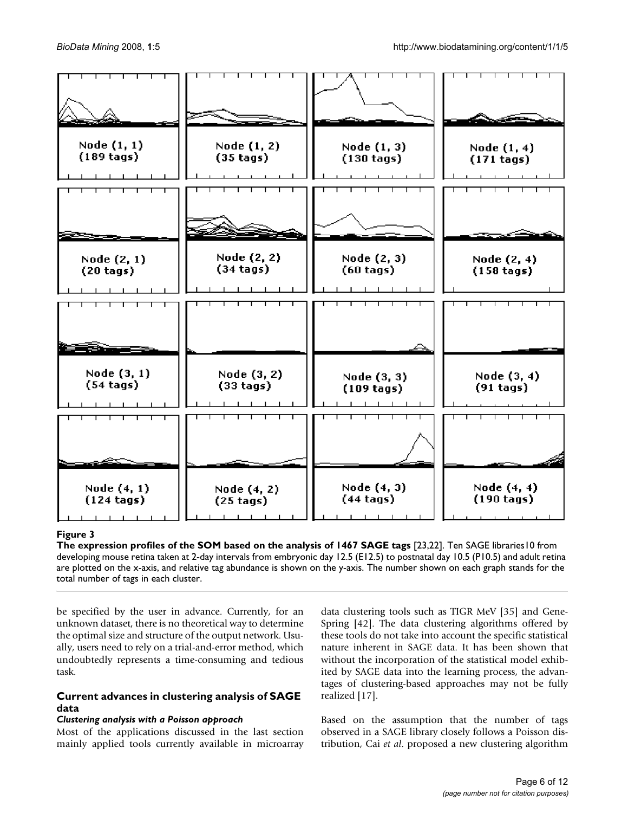

# The expression profiles of the SOM based of the SOM based  $\mathcal{I}_2$ 3,237 SAGE tags  $\mathcal{I}_3$

**The expression profiles of the SOM based on the analysis of 1467 SAGE tags** [23,22]. Ten SAGE libraries10 from developing mouse retina taken at 2-day intervals from embryonic day 12.5 (E12.5) to postnatal day 10.5 (P10.5) and adult retina are plotted on the x-axis, and relative tag abundance is shown on the y-axis. The number shown on each graph stands for the total number of tags in each cluster.

be specified by the user in advance. Currently, for an unknown dataset, there is no theoretical way to determine the optimal size and structure of the output network. Usually, users need to rely on a trial-and-error method, which undoubtedly represents a time-consuming and tedious task.

# **Current advances in clustering analysis of SAGE data**

# *Clustering analysis with a Poisson approach*

Most of the applications discussed in the last section mainly applied tools currently available in microarray data clustering tools such as TIGR MeV [35] and Gene-Spring [42]. The data clustering algorithms offered by these tools do not take into account the specific statistical nature inherent in SAGE data. It has been shown that without the incorporation of the statistical model exhibited by SAGE data into the learning process, the advantages of clustering-based approaches may not be fully realized [17].

Based on the assumption that the number of tags observed in a SAGE library closely follows a Poisson distribution, Cai *et al*. proposed a new clustering algorithm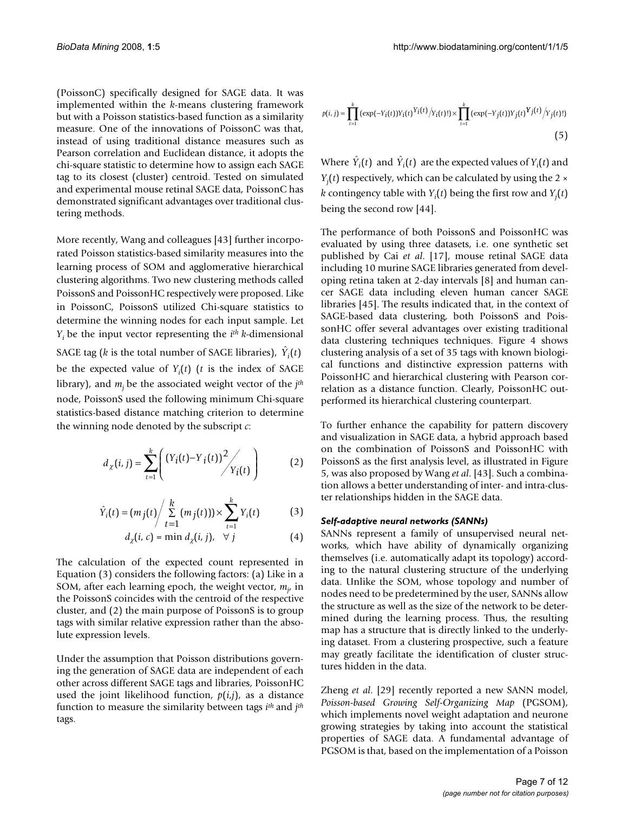(PoissonC) specifically designed for SAGE data. It was implemented within the *k*-means clustering framework but with a Poisson statistics-based function as a similarity measure. One of the innovations of PoissonC was that, instead of using traditional distance measures such as Pearson correlation and Euclidean distance, it adopts the chi-square statistic to determine how to assign each SAGE tag to its closest (cluster) centroid. Tested on simulated and experimental mouse retinal SAGE data, PoissonC has demonstrated significant advantages over traditional clustering methods.

More recently, Wang and colleagues [43] further incorporated Poisson statistics-based similarity measures into the learning process of SOM and agglomerative hierarchical clustering algorithms. Two new clustering methods called PoissonS and PoissonHC respectively were proposed. Like in PoissonC, PoissonS utilized Chi-square statistics to determine the winning nodes for each input sample. Let *Yi* be the input vector representing the *ith k*-dimensional

SAGE tag ( $k$  is the total number of SAGE libraries),  $\hat{Y}_i(t)$ be the expected value of *Yi* (*t*) (*t* is the index of SAGE library), and *mj* be the associated weight vector of the *jth* node, PoissonS used the following minimum Chi-square statistics-based distance matching criterion to determine the winning node denoted by the subscript *c*:

$$
d_{\chi}(i,j) = \sum_{t=1}^{k} \left( \frac{(Y_i(t) - Y_i(t))^2}{Y_i(t)} \right)
$$
 (2)

$$
\hat{Y}_i(t) = (m_j(t) / \sum_{t=1}^k (m_j(t))) \times \sum_{t=1}^k Y_i(t)
$$
\n(3)

$$
d_{\chi}(i, c) = \min d_{\chi}(i, j), \quad \forall j \tag{4}
$$

The calculation of the expected count represented in Equation (3) considers the following factors: (a) Like in a SOM, after each learning epoch, the weight vector,  $m_j$  in the PoissonS coincides with the centroid of the respective cluster, and (2) the main purpose of PoissonS is to group tags with similar relative expression rather than the absolute expression levels.

Under the assumption that Poisson distributions governing the generation of SAGE data are independent of each other across different SAGE tags and libraries, PoissonHC used the joint likelihood function, *p*(*i*,*j*), as a distance function to measure the similarity between tags *ith* and *jth* tags.

$$
p(i, j) = \prod_{t=1}^{k} (\exp(-Y_i(t))Y_i(t)Y_i(t) / Y_i(t)!) \times \prod_{t=1}^{k} (\exp(-Y_j(t))Y_j(t)Y_j(t) / Y_j(t)!) \tag{5}
$$

Where  $\hat{Y}_i(t)$  and  $\hat{Y}_i(t)$  are the expected values of  $Y_i(t)$  and *Yj* (*t*) respectively, which can be calculated by using the 2 × *k* contingency table with  $Y_i(t)$  being the first row and  $Y_j(t)$ being the second row [44].

The performance of both PoissonS and PoissonHC was evaluated by using three datasets, i.e. one synthetic set published by Cai *et al*. [17], mouse retinal SAGE data including 10 murine SAGE libraries generated from developing retina taken at 2-day intervals [8] and human cancer SAGE data including eleven human cancer SAGE libraries [45]. The results indicated that, in the context of SAGE-based data clustering, both PoissonS and PoissonHC offer several advantages over existing traditional data clustering techniques techniques. Figure 4 shows clustering analysis of a set of 35 tags with known biological functions and distinctive expression patterns with PoissonHC and hierarchical clustering with Pearson correlation as a distance function. Clearly, PoissonHC outperformed its hierarchical clustering counterpart.

To further enhance the capability for pattern discovery and visualization in SAGE data, a hybrid approach based on the combination of PoissonS and PoissonHC with PoissonS as the first analysis level, as illustrated in Figure 5, was also proposed by Wang *et al*. [43]. Such a combination allows a better understanding of inter- and intra-cluster relationships hidden in the SAGE data.

#### *Self-adaptive neural networks (SANNs)*

SANNs represent a family of unsupervised neural networks, which have ability of dynamically organizing themselves (i.e. automatically adapt its topology) according to the natural clustering structure of the underlying data. Unlike the SOM, whose topology and number of nodes need to be predetermined by the user, SANNs allow the structure as well as the size of the network to be determined during the learning process. Thus, the resulting map has a structure that is directly linked to the underlying dataset. From a clustering prospective, such a feature may greatly facilitate the identification of cluster structures hidden in the data.

Zheng *et al*. [29] recently reported a new SANN model, *Poisson-based Growing Self-Organizing Map* (PGSOM), which implements novel weight adaptation and neurone growing strategies by taking into account the statistical properties of SAGE data. A fundamental advantage of PGSOM is that, based on the implementation of a Poisson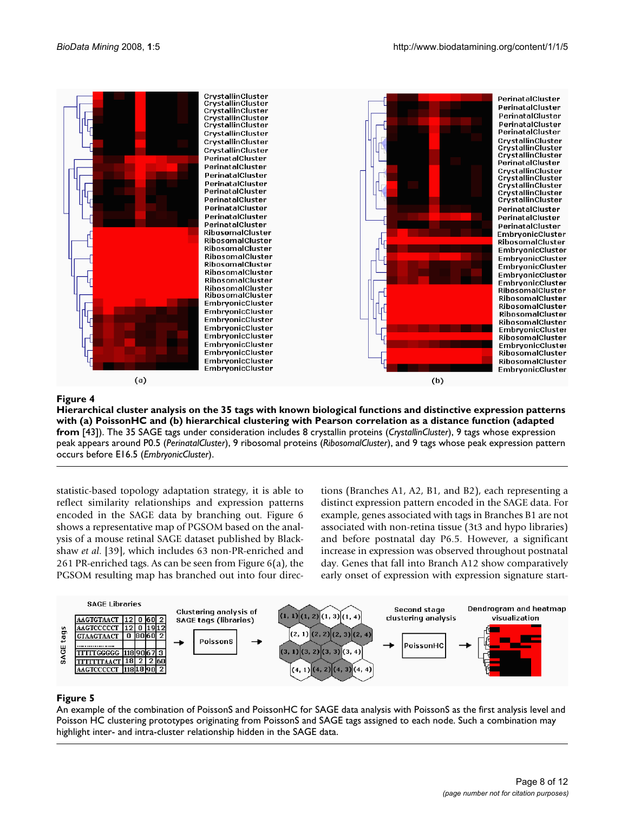

# sonHC and (b) hierarchical clustering with Pearson corre **Figure 4** Hierarchical cluster analysis on the 35 tags with known biological functions and di lation as a distance function (adapted from [43]) stinctive expression patterns with (a) Pois-

**Hierarchical cluster analysis on the 35 tags with known biological functions and distinctive expression patterns with (a) PoissonHC and (b) hierarchical clustering with Pearson correlation as a distance function (adapted from** [43]). The 35 SAGE tags under consideration includes 8 crystallin proteins (*CrystallinCluster*), 9 tags whose expression peak appears around P0.5 (*PerinatalCluster*), 9 ribosomal proteins (*RibosomalCluster*), and 9 tags whose peak expression pattern occurs before E16.5 (*EmbryonicCluster*).

statistic-based topology adaptation strategy, it is able to reflect similarity relationships and expression patterns encoded in the SAGE data by branching out. Figure 6 shows a representative map of PGSOM based on the analysis of a mouse retinal SAGE dataset published by Blackshaw *et al*. [39], which includes 63 non-PR-enriched and 261 PR-enriched tags. As can be seen from Figure 6(a), the PGSOM resulting map has branched out into four directions (Branches A1, A2, B1, and B2), each representing a distinct expression pattern encoded in the SAGE data. For example, genes associated with tags in Branches B1 are not associated with non-retina tissue (3t3 and hypo libraries) and before postnatal day P6.5. However, a significant increase in expression was observed throughout postnatal day. Genes that fall into Branch A12 show comparatively early onset of expression with expression signature start-



# An example of the combination of PoissonS Poisson HC clustering prototypes originating from **Figure 5** and PoissonHC for SAGE data analysis with PoissonS and SAGE tags assigned to each node PoissonS as the first analysis level and

An example of the combination of PoissonS and PoissonHC for SAGE data analysis with PoissonS as the first analysis level and Poisson HC clustering prototypes originating from PoissonS and SAGE tags assigned to each node. Such a combination may highlight inter- and intra-cluster relationship hidden in the SAGE data.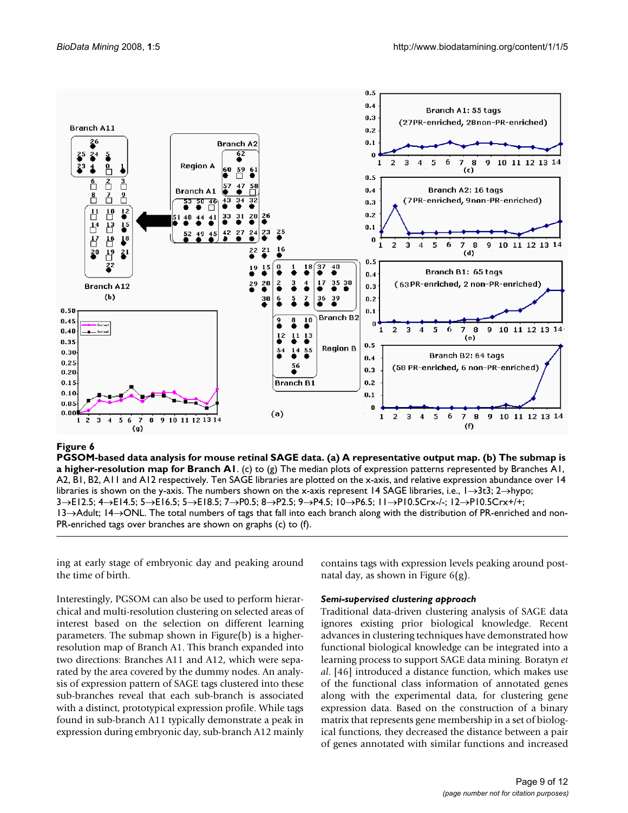

#### tion map for Branch A1 **Figure 6** PGSOM-based data analysis for mouse retinal SAGE data. (a) A representative output map. (b) The submap is a higher-resolu-

**PGSOM-based data analysis for mouse retinal SAGE data. (a) A representative output map. (b) The submap is a higher-resolution map for Branch A1**. (c) to (g) The median plots of expression patterns represented by Branches A1, A2, B1, B2, A11 and A12 respectively. Ten SAGE libraries are plotted on the x-axis, and relative expression abundance over 14 libraries is shown on the y-axis. The numbers shown on the x-axis represent 14 SAGE libraries, i.e., 1→3t3; 2→hypo; 3→E12.5; 4→E14.5; 5→E16.5; 5→E18.5; 7→P0.5; 8→P2.5; 9→P4.5; 10→P6.5; 11→P10.5Crx-/-; 12→P10.5Crx+/+; 13→Adult; 14→ONL. The total numbers of tags that fall into each branch along with the distribution of PR-enriched and non-PR-enriched tags over branches are shown on graphs (c) to (f).

ing at early stage of embryonic day and peaking around the time of birth.

Interestingly, PGSOM can also be used to perform hierarchical and multi-resolution clustering on selected areas of interest based on the selection on different learning parameters. The submap shown in Figure(b) is a higherresolution map of Branch A1. This branch expanded into two directions: Branches A11 and A12, which were separated by the area covered by the dummy nodes. An analysis of expression pattern of SAGE tags clustered into these sub-branches reveal that each sub-branch is associated with a distinct, prototypical expression profile. While tags found in sub-branch A11 typically demonstrate a peak in expression during embryonic day, sub-branch A12 mainly contains tags with expression levels peaking around postnatal day, as shown in Figure 6(g).

#### *Semi-supervised clustering approach*

Traditional data-driven clustering analysis of SAGE data ignores existing prior biological knowledge. Recent advances in clustering techniques have demonstrated how functional biological knowledge can be integrated into a learning process to support SAGE data mining. Boratyn *et al*. [46] introduced a distance function, which makes use of the functional class information of annotated genes along with the experimental data, for clustering gene expression data. Based on the construction of a binary matrix that represents gene membership in a set of biological functions, they decreased the distance between a pair of genes annotated with similar functions and increased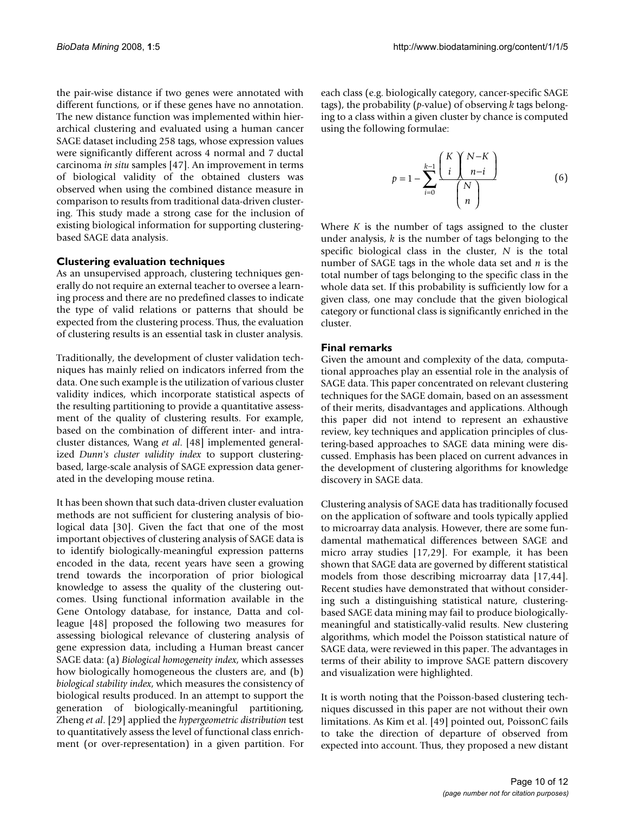the pair-wise distance if two genes were annotated with different functions, or if these genes have no annotation. The new distance function was implemented within hierarchical clustering and evaluated using a human cancer SAGE dataset including 258 tags, whose expression values were significantly different across 4 normal and 7 ductal carcinoma *in situ* samples [47]. An improvement in terms of biological validity of the obtained clusters was observed when using the combined distance measure in comparison to results from traditional data-driven clustering. This study made a strong case for the inclusion of existing biological information for supporting clusteringbased SAGE data analysis.

# **Clustering evaluation techniques**

As an unsupervised approach, clustering techniques generally do not require an external teacher to oversee a learning process and there are no predefined classes to indicate the type of valid relations or patterns that should be expected from the clustering process. Thus, the evaluation of clustering results is an essential task in cluster analysis.

Traditionally, the development of cluster validation techniques has mainly relied on indicators inferred from the data. One such example is the utilization of various cluster validity indices, which incorporate statistical aspects of the resulting partitioning to provide a quantitative assessment of the quality of clustering results. For example, based on the combination of different inter- and intracluster distances, Wang *et al*. [48] implemented generalized *Dunn's cluster validity index* to support clusteringbased, large-scale analysis of SAGE expression data generated in the developing mouse retina.

It has been shown that such data-driven cluster evaluation methods are not sufficient for clustering analysis of biological data [30]. Given the fact that one of the most important objectives of clustering analysis of SAGE data is to identify biologically-meaningful expression patterns encoded in the data, recent years have seen a growing trend towards the incorporation of prior biological knowledge to assess the quality of the clustering outcomes. Using functional information available in the Gene Ontology database, for instance, Datta and colleague [48] proposed the following two measures for assessing biological relevance of clustering analysis of gene expression data, including a Human breast cancer SAGE data: (a) *Biological homogeneity index*, which assesses how biologically homogeneous the clusters are, and (b) *biological stability index*, which measures the consistency of biological results produced. In an attempt to support the generation of biologically-meaningful partitioning, Zheng *et al*. [29] applied the *hypergeometric distribution* test to quantitatively assess the level of functional class enrichment (or over-representation) in a given partition. For each class (e.g. biologically category, cancer-specific SAGE tags), the probability (*p*-value) of observing *k* tags belonging to a class within a given cluster by chance is computed using the following formulae:

$$
p = 1 - \sum_{i=0}^{k-1} \frac{\binom{K}{i} \binom{N-K}{n-i}}{\binom{N}{n}}
$$
(6)

Where  $K$  is the number of tags assigned to the cluster under analysis, *k* is the number of tags belonging to the specific biological class in the cluster, *N* is the total number of SAGE tags in the whole data set and *n* is the total number of tags belonging to the specific class in the whole data set. If this probability is sufficiently low for a given class, one may conclude that the given biological category or functional class is significantly enriched in the cluster.

#### **Final remarks**

Given the amount and complexity of the data, computational approaches play an essential role in the analysis of SAGE data. This paper concentrated on relevant clustering techniques for the SAGE domain, based on an assessment of their merits, disadvantages and applications. Although this paper did not intend to represent an exhaustive review, key techniques and application principles of clustering-based approaches to SAGE data mining were discussed. Emphasis has been placed on current advances in the development of clustering algorithms for knowledge discovery in SAGE data.

Clustering analysis of SAGE data has traditionally focused on the application of software and tools typically applied to microarray data analysis. However, there are some fundamental mathematical differences between SAGE and micro array studies [17,29]. For example, it has been shown that SAGE data are governed by different statistical models from those describing microarray data [17,44]. Recent studies have demonstrated that without considering such a distinguishing statistical nature, clusteringbased SAGE data mining may fail to produce biologicallymeaningful and statistically-valid results. New clustering algorithms, which model the Poisson statistical nature of SAGE data, were reviewed in this paper. The advantages in terms of their ability to improve SAGE pattern discovery and visualization were highlighted.

It is worth noting that the Poisson-based clustering techniques discussed in this paper are not without their own limitations. As Kim et al. [49] pointed out, PoissonC fails to take the direction of departure of observed from expected into account. Thus, they proposed a new distant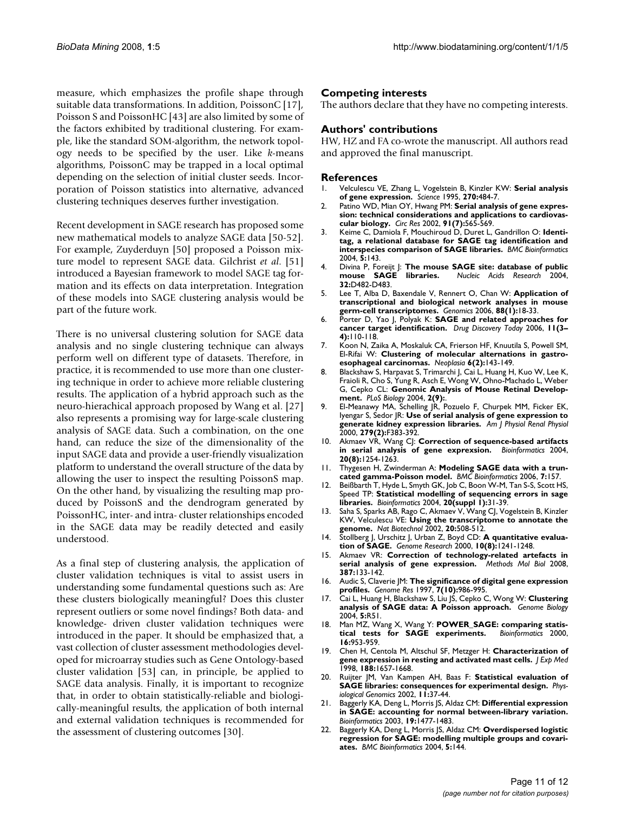measure, which emphasizes the profile shape through suitable data transformations. In addition, PoissonC [17], Poisson S and PoissonHC [43] are also limited by some of the factors exhibited by traditional clustering. For example, like the standard SOM-algorithm, the network topology needs to be specified by the user. Like *k*-means algorithms, PoissonC may be trapped in a local optimal depending on the selection of initial cluster seeds. Incorporation of Poisson statistics into alternative, advanced clustering techniques deserves further investigation.

Recent development in SAGE research has proposed some new mathematical models to analyze SAGE data [50-52]. For example, Zuyderduyn [50] proposed a Poisson mixture model to represent SAGE data. Gilchrist *et al*. [51] introduced a Bayesian framework to model SAGE tag formation and its effects on data interpretation. Integration of these models into SAGE clustering analysis would be part of the future work.

There is no universal clustering solution for SAGE data analysis and no single clustering technique can always perform well on different type of datasets. Therefore, in practice, it is recommended to use more than one clustering technique in order to achieve more reliable clustering results. The application of a hybrid approach such as the neuro-hierachical approach proposed by Wang et al. [27] also represents a promising way for large-scale clustering analysis of SAGE data. Such a combination, on the one hand, can reduce the size of the dimensionality of the input SAGE data and provide a user-friendly visualization platform to understand the overall structure of the data by allowing the user to inspect the resulting PoissonS map. On the other hand, by visualizing the resulting map produced by PoissonS and the dendrogram generated by PoissonHC, inter- and intra- cluster relationships encoded in the SAGE data may be readily detected and easily understood.

As a final step of clustering analysis, the application of cluster validation techniques is vital to assist users in understanding some fundamental questions such as: Are these clusters biologically meaningful? Does this cluster represent outliers or some novel findings? Both data- and knowledge- driven cluster validation techniques were introduced in the paper. It should be emphasized that, a vast collection of cluster assessment methodologies developed for microarray studies such as Gene Ontology-based cluster validation [53] can, in principle, be applied to SAGE data analysis. Finally, it is important to recognize that, in order to obtain statistically-reliable and biologically-meaningful results, the application of both internal and external validation techniques is recommended for the assessment of clustering outcomes [30].

#### **Competing interests**

The authors declare that they have no competing interests.

#### **Authors' contributions**

HW, HZ and FA co-wrote the manuscript. All authors read and approved the final manuscript.

#### **References**

- 1. Velculescu VE, Zhang L, Vogelstein B, Kinzler KW: **[Serial analysis](http://www.ncbi.nlm.nih.gov/entrez/query.fcgi?cmd=Retrieve&db=PubMed&dopt=Abstract&list_uids=7570003) [of gene expression.](http://www.ncbi.nlm.nih.gov/entrez/query.fcgi?cmd=Retrieve&db=PubMed&dopt=Abstract&list_uids=7570003)** *Science* 1995, **270:**484-7.
- 2. Patino WD, Mian OY, Hwang PM: **[Serial analysis of gene expres](http://www.ncbi.nlm.nih.gov/entrez/query.fcgi?cmd=Retrieve&db=PubMed&dopt=Abstract&list_uids=12364383)[sion: technical considerations and applications to cardiovas](http://www.ncbi.nlm.nih.gov/entrez/query.fcgi?cmd=Retrieve&db=PubMed&dopt=Abstract&list_uids=12364383)[cular biology.](http://www.ncbi.nlm.nih.gov/entrez/query.fcgi?cmd=Retrieve&db=PubMed&dopt=Abstract&list_uids=12364383)** *Circ Res* 2002, **91(7):**565-569.
- 3. Keime C, Damiola F, Mouchiroud D, Duret L, Gandrillon O: **[Identi](http://www.ncbi.nlm.nih.gov/entrez/query.fcgi?cmd=Retrieve&db=PubMed&dopt=Abstract&list_uids=15469608)[tag, a relational database for SAGE tag identification and](http://www.ncbi.nlm.nih.gov/entrez/query.fcgi?cmd=Retrieve&db=PubMed&dopt=Abstract&list_uids=15469608) [interspecies comparison of SAGE libraries.](http://www.ncbi.nlm.nih.gov/entrez/query.fcgi?cmd=Retrieve&db=PubMed&dopt=Abstract&list_uids=15469608)** *BMC Bioinformatics* 2004, **5:**143.
- Divina P, Foreijt J: **[The mouse SAGE site: database of public](http://www.ncbi.nlm.nih.gov/entrez/query.fcgi?cmd=Retrieve&db=PubMed&dopt=Abstract&list_uids=14681462) mouse SAGE libraries.** Nucleic Acids Research 2004, **[mouse SAGE libraries.](http://www.ncbi.nlm.nih.gov/entrez/query.fcgi?cmd=Retrieve&db=PubMed&dopt=Abstract&list_uids=14681462)** *Nucleic Acids Research* 2004, **32:**D482-D483.
- 5. Lee T, Alba D, Baxendale V, Rennert O, Chan W: **[Application of](http://www.ncbi.nlm.nih.gov/entrez/query.fcgi?cmd=Retrieve&db=PubMed&dopt=Abstract&list_uids=16678385) [transcriptional and biological network analyses in mouse](http://www.ncbi.nlm.nih.gov/entrez/query.fcgi?cmd=Retrieve&db=PubMed&dopt=Abstract&list_uids=16678385) [germ-cell transcriptomes.](http://www.ncbi.nlm.nih.gov/entrez/query.fcgi?cmd=Retrieve&db=PubMed&dopt=Abstract&list_uids=16678385)** *Genomics* 2006, **88(1):**18-33.
- 6. Porter D, Yao J, Polyak K: **[SAGE and related approaches for](http://www.ncbi.nlm.nih.gov/entrez/query.fcgi?cmd=Retrieve&db=PubMed&dopt=Abstract&list_uids=16533708) [cancer target identification.](http://www.ncbi.nlm.nih.gov/entrez/query.fcgi?cmd=Retrieve&db=PubMed&dopt=Abstract&list_uids=16533708)** *Drug Discovery Today* 2006, **11(3– 4):**110-118.
- 7. Koon N, Zaika A, Moskaluk CA, Frierson HF, Knuutila S, Powell SM, El-Rifai W: **[Clustering of molecular alternations in gastro](http://www.ncbi.nlm.nih.gov/entrez/query.fcgi?cmd=Retrieve&db=PubMed&dopt=Abstract&list_uids=15140403)[esophageal carcinomas.](http://www.ncbi.nlm.nih.gov/entrez/query.fcgi?cmd=Retrieve&db=PubMed&dopt=Abstract&list_uids=15140403)** *Neoplasia* **6(2):**143-149.
- 8. Blackshaw S, Harpavat S, Trimarchi J, Cai L, Huang H, Kuo W, Lee K, Fraioli R, Cho S, Yung R, Asch E, Wong W, Ohno-Machado L, Weber G, Cepko CL: **[Genomic Analysis of Mouse Retinal Develop](http://www.ncbi.nlm.nih.gov/entrez/query.fcgi?cmd=Retrieve&db=PubMed&dopt=Abstract&list_uids=15226823)[ment.](http://www.ncbi.nlm.nih.gov/entrez/query.fcgi?cmd=Retrieve&db=PubMed&dopt=Abstract&list_uids=15226823)** *PLoS Biology* 2004, **2(9):**.
- 9. El-Meanawy MA, Schelling JR, Pozuelo F, Churpek MM, Ficker EK, Iyengar S, Sedor JR: **[Use of serial analysis of gene expression to](http://www.ncbi.nlm.nih.gov/entrez/query.fcgi?cmd=Retrieve&db=PubMed&dopt=Abstract&list_uids=10919859) [generate kidney expression libraries.](http://www.ncbi.nlm.nih.gov/entrez/query.fcgi?cmd=Retrieve&db=PubMed&dopt=Abstract&list_uids=10919859)** *Am J Physiol Renal Physiol* 2000, **279(2):**F383-392.
- 10. Akmaev VR, Wang CJ: **[Correction of sequence-based artifacts](http://www.ncbi.nlm.nih.gov/entrez/query.fcgi?cmd=Retrieve&db=PubMed&dopt=Abstract&list_uids=14871862) [in serial analysis of gene exprexsion.](http://www.ncbi.nlm.nih.gov/entrez/query.fcgi?cmd=Retrieve&db=PubMed&dopt=Abstract&list_uids=14871862)** *Bioinformatics* 2004, **20(8):**1254-1263.
- 11. Thygesen H, Zwinderman A: **[Modeling SAGE data with a trun](http://www.ncbi.nlm.nih.gov/entrez/query.fcgi?cmd=Retrieve&db=PubMed&dopt=Abstract&list_uids=16549008)[cated gamma-Poisson model.](http://www.ncbi.nlm.nih.gov/entrez/query.fcgi?cmd=Retrieve&db=PubMed&dopt=Abstract&list_uids=16549008)** *BMC Bioinformatics* 2006, **7:**157.
- 12. Beißbarth T, Hyde L, Smyth GK, Job C, Boon W-M, Tan S-S, Scott HS, Speed TP: **Statistical modelling of sequencing errors in sage libraries.** *Bioinformatics* 2004, **20(suppl 1):**31-39.
- 13. Saha S, Sparks AB, Rago C, Akmaev V, Wang CJ, Vogelstein B, Kinzler KW, Velculescu VE: **[Using the transcriptome to annotate the](http://www.ncbi.nlm.nih.gov/entrez/query.fcgi?cmd=Retrieve&db=PubMed&dopt=Abstract&list_uids=11981567) [genome.](http://www.ncbi.nlm.nih.gov/entrez/query.fcgi?cmd=Retrieve&db=PubMed&dopt=Abstract&list_uids=11981567)** *Nat Biotechnol* 2002, **20:**508-512.
- 14. Stollberg J, Urschitz J, Urban Z, Boyd CD: **[A quantitative evalua](http://www.ncbi.nlm.nih.gov/entrez/query.fcgi?cmd=Retrieve&db=PubMed&dopt=Abstract&list_uids=10958642)[tion of SAGE.](http://www.ncbi.nlm.nih.gov/entrez/query.fcgi?cmd=Retrieve&db=PubMed&dopt=Abstract&list_uids=10958642)** *Genome Research* 2000, **10(8):**1241-1248.
- 15. Akmaev VR: **[Correction of technology-related artefacts in](http://www.ncbi.nlm.nih.gov/entrez/query.fcgi?cmd=Retrieve&db=PubMed&dopt=Abstract&list_uids=18287628) [serial analysis of gene expression.](http://www.ncbi.nlm.nih.gov/entrez/query.fcgi?cmd=Retrieve&db=PubMed&dopt=Abstract&list_uids=18287628)** *Methods Mol Biol* 2008, **387:**133-142.
- 16. Audic S, Claverie JM: **[The significance of digital gene expression](http://www.ncbi.nlm.nih.gov/entrez/query.fcgi?cmd=Retrieve&db=PubMed&dopt=Abstract&list_uids=9331369) [profiles.](http://www.ncbi.nlm.nih.gov/entrez/query.fcgi?cmd=Retrieve&db=PubMed&dopt=Abstract&list_uids=9331369)** *Genome Res* 1997, **7(10):**986-995.
- 17. Cai L, Huang H, Blackshaw S, Liu JS, Cepko C, Wong W: **[Clustering](http://www.ncbi.nlm.nih.gov/entrez/query.fcgi?cmd=Retrieve&db=PubMed&dopt=Abstract&list_uids=15239836) [analysis of SAGE data: A Poisson approach.](http://www.ncbi.nlm.nih.gov/entrez/query.fcgi?cmd=Retrieve&db=PubMed&dopt=Abstract&list_uids=15239836)** *Genome Biology* 2004, **5:**R51.
- 18. Man MZ, Wang X, Wang Y: **POWER\_SAGE: comparing statis-<br><b>tical tests for SAGE** experiments. Bioinformatics 2000, tical tests for **SAGE** experiments. **16:**953-959.
- 19. Chen H, Centola M, Altschul SF, Metzger H: **[Characterization of](http://www.ncbi.nlm.nih.gov/entrez/query.fcgi?cmd=Retrieve&db=PubMed&dopt=Abstract&list_uids=9802978) [gene expression in resting and activated mast cells.](http://www.ncbi.nlm.nih.gov/entrez/query.fcgi?cmd=Retrieve&db=PubMed&dopt=Abstract&list_uids=9802978)** *J Exp Med* 1998, **188:**1657-1668.
- 20. Ruijter JM, Van Kampen AH, Baas F: **[Statistical evaluation of](http://www.ncbi.nlm.nih.gov/entrez/query.fcgi?cmd=Retrieve&db=PubMed&dopt=Abstract&list_uids=12407185) [SAGE libraries: consequences for experimental design.](http://www.ncbi.nlm.nih.gov/entrez/query.fcgi?cmd=Retrieve&db=PubMed&dopt=Abstract&list_uids=12407185)** *Physiological Genomics* 2002, **11:**37-44.
- 21. Baggerly KA, Deng L, Morris JS, Aldaz CM: **[Differential expression](http://www.ncbi.nlm.nih.gov/entrez/query.fcgi?cmd=Retrieve&db=PubMed&dopt=Abstract&list_uids=12912827) [in SAGE: accounting for normal between-library variation.](http://www.ncbi.nlm.nih.gov/entrez/query.fcgi?cmd=Retrieve&db=PubMed&dopt=Abstract&list_uids=12912827)** *Bioinformatics* 2003, **19:**1477-1483.
- 22. Baggerly KA, Deng L, Morris JS, Aldaz CM: **[Overdispersed logistic](http://www.ncbi.nlm.nih.gov/entrez/query.fcgi?cmd=Retrieve&db=PubMed&dopt=Abstract&list_uids=15469612) [regression for SAGE: modelling multiple groups and covari](http://www.ncbi.nlm.nih.gov/entrez/query.fcgi?cmd=Retrieve&db=PubMed&dopt=Abstract&list_uids=15469612)[ates.](http://www.ncbi.nlm.nih.gov/entrez/query.fcgi?cmd=Retrieve&db=PubMed&dopt=Abstract&list_uids=15469612)** *BMC Bioinformatics* 2004, **5:**144.